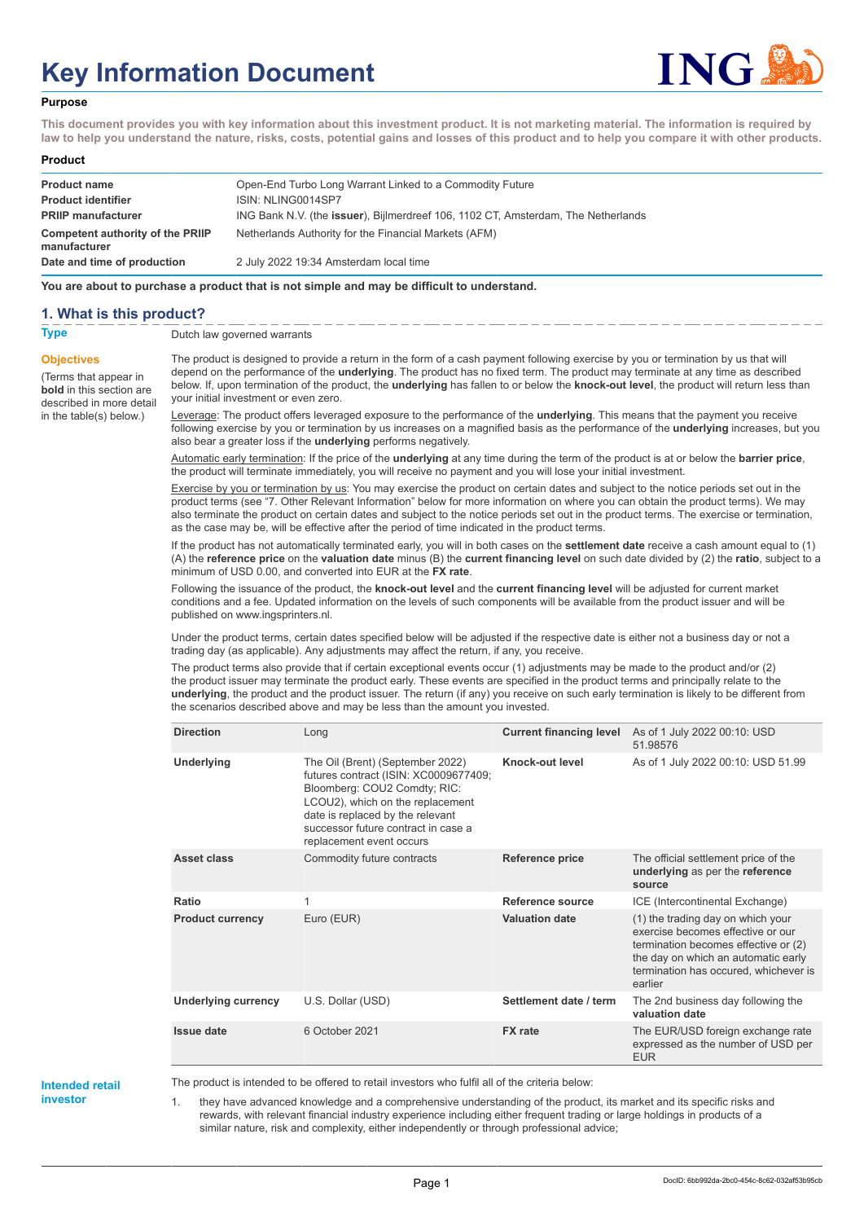# **Key Information Document**



#### **Purpose**

**This document provides you with key information about this investment product. It is not marketing material. The information is required by law to help you understand the nature, risks, costs, potential gains and losses of this product and to help you compare it with other products.**

#### **Product**

| <b>Product name</b><br><b>Product identifier</b> | Open-End Turbo Long Warrant Linked to a Commodity Future<br>ISIN: NLING0014SP7    |
|--------------------------------------------------|-----------------------------------------------------------------------------------|
| <b>PRIIP manufacturer</b>                        | ING Bank N.V. (the issuer), Bijlmerdreef 106, 1102 CT, Amsterdam, The Netherlands |
| Competent authority of the PRIIP<br>manufacturer | Netherlands Authority for the Financial Markets (AFM)                             |
| Date and time of production                      | 2 July 2022 19:34 Amsterdam local time                                            |

**You are about to purchase a product that is not simple and may be difficult to understand.**

#### **1. What is this product?**

**Objectives**

(Terms that appear in **bold** in this section are

in the table(s) below.)

**Type** Dutch law governed warrants

described in more detail The product is designed to provide a return in the form of a cash payment following exercise by you or termination by us that will depend on the performance of the **underlying**. The product has no fixed term. The product may terminate at any time as described below. If, upon termination of the product, the **underlying** has fallen to or below the **knock-out level**, the product will return less than your initial investment or even zero.

> Leverage: The product offers leveraged exposure to the performance of the **underlying**. This means that the payment you receive following exercise by you or termination by us increases on a magnified basis as the performance of the **underlying** increases, but you also bear a greater loss if the **underlying** performs negatively.

Automatic early termination: If the price of the **underlying** at any time during the term of the product is at or below the **barrier price**, the product will terminate immediately, you will receive no payment and you will lose your initial investment.

Exercise by you or termination by us: You may exercise the product on certain dates and subject to the notice periods set out in the product terms (see "7. Other Relevant Information" below for more information on where you can obtain the product terms). We may also terminate the product on certain dates and subject to the notice periods set out in the product terms. The exercise or termination, as the case may be, will be effective after the period of time indicated in the product terms.

If the product has not automatically terminated early, you will in both cases on the **settlement date** receive a cash amount equal to (1) (A) the **reference price** on the **valuation date** minus (B) the **current financing level** on such date divided by (2) the **ratio**, subject to a minimum of USD 0.00, and converted into EUR at the **FX rate**.

Following the issuance of the product, the **knock-out level** and the **current financing level** will be adjusted for current market conditions and a fee. Updated information on the levels of such components will be available from the product issuer and will be published on www.ingsprinters.nl.

Under the product terms, certain dates specified below will be adjusted if the respective date is either not a business day or not a trading day (as applicable). Any adjustments may affect the return, if any, you receive.

The product terms also provide that if certain exceptional events occur (1) adjustments may be made to the product and/or (2) the product issuer may terminate the product early. These events are specified in the product terms and principally relate to the **underlying**, the product and the product issuer. The return (if any) you receive on such early termination is likely to be different from the scenarios described above and may be less than the amount you invested.

| <b>Direction</b>           | Long                                                                                                                                                                                                                                                 | <b>Current financing level</b> | As of 1 July 2022 00:10: USD<br>51.98576                                                                                                                                                                  |
|----------------------------|------------------------------------------------------------------------------------------------------------------------------------------------------------------------------------------------------------------------------------------------------|--------------------------------|-----------------------------------------------------------------------------------------------------------------------------------------------------------------------------------------------------------|
| Underlying                 | The Oil (Brent) (September 2022)<br>futures contract (ISIN: XC0009677409;<br>Bloomberg: COU2 Comdty; RIC:<br>LCOU2), which on the replacement<br>date is replaced by the relevant<br>successor future contract in case a<br>replacement event occurs | Knock-out level                | As of 1 July 2022 00:10: USD 51.99                                                                                                                                                                        |
| Asset class                | Commodity future contracts                                                                                                                                                                                                                           | Reference price                | The official settlement price of the<br>underlying as per the reference<br>source                                                                                                                         |
| Ratio                      | 1                                                                                                                                                                                                                                                    | Reference source               | ICE (Intercontinental Exchange)                                                                                                                                                                           |
| <b>Product currency</b>    | Euro (EUR)                                                                                                                                                                                                                                           | <b>Valuation date</b>          | (1) the trading day on which your<br>exercise becomes effective or our<br>termination becomes effective or (2)<br>the day on which an automatic early<br>termination has occured, whichever is<br>earlier |
| <b>Underlying currency</b> | U.S. Dollar (USD)                                                                                                                                                                                                                                    | Settlement date / term         | The 2nd business day following the<br>valuation date                                                                                                                                                      |
| <b>Issue date</b>          | 6 October 2021                                                                                                                                                                                                                                       | <b>FX</b> rate                 | The EUR/USD foreign exchange rate<br>expressed as the number of USD per<br><b>EUR</b>                                                                                                                     |

#### **Intended retail investor**

The product is intended to be offered to retail investors who fulfil all of the criteria below:

1. they have advanced knowledge and a comprehensive understanding of the product, its market and its specific risks and rewards, with relevant financial industry experience including either frequent trading or large holdings in products of a similar nature, risk and complexity, either independently or through professional advice;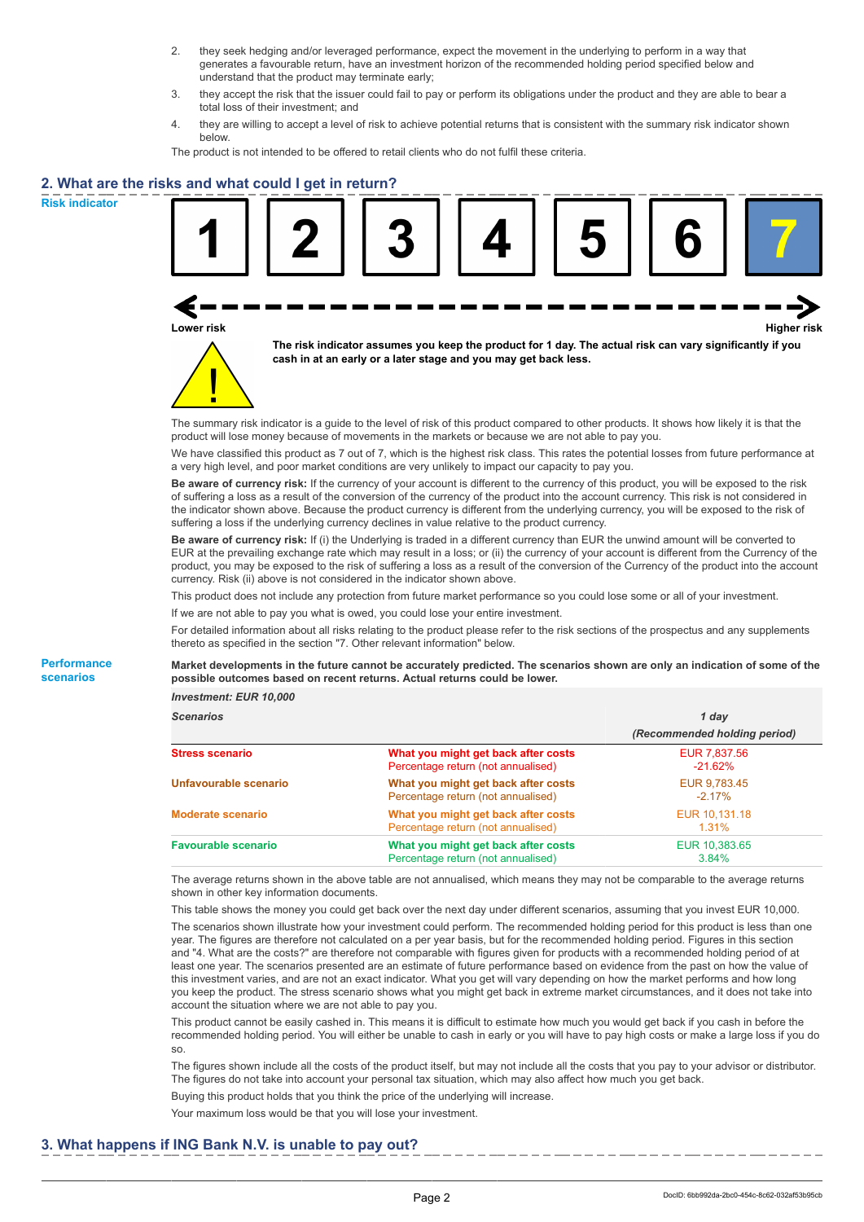- 2. they seek hedging and/or leveraged performance, expect the movement in the underlying to perform in a way that generates a favourable return, have an investment horizon of the recommended holding period specified below and understand that the product may terminate early;
- 3. they accept the risk that the issuer could fail to pay or perform its obligations under the product and they are able to bear a total loss of their investment; and
- 4. they are willing to accept a level of risk to achieve potential returns that is consistent with the summary risk indicator shown below.

The product is not intended to be offered to retail clients who do not fulfil these criteria.

# **2. What are the risks and what could I get in return?**

**Risk indicator**

**Performance scenarios**





**The risk indicator assumes you keep the product for 1 day. The actual risk can vary significantly if you cash in at an early or a later stage and you may get back less.**

The summary risk indicator is a guide to the level of risk of this product compared to other products. It shows how likely it is that the product will lose money because of movements in the markets or because we are not able to pay you.

We have classified this product as 7 out of 7, which is the highest risk class. This rates the potential losses from future performance at a very high level, and poor market conditions are very unlikely to impact our capacity to pay you.

**Be aware of currency risk:** If the currency of your account is different to the currency of this product, you will be exposed to the risk of suffering a loss as a result of the conversion of the currency of the product into the account currency. This risk is not considered in the indicator shown above. Because the product currency is different from the underlying currency, you will be exposed to the risk of suffering a loss if the underlying currency declines in value relative to the product currency.

**Be aware of currency risk:** If (i) the Underlying is traded in a different currency than EUR the unwind amount will be converted to EUR at the prevailing exchange rate which may result in a loss; or (ii) the currency of your account is different from the Currency of the product, you may be exposed to the risk of suffering a loss as a result of the conversion of the Currency of the product into the account currency. Risk (ii) above is not considered in the indicator shown above.

This product does not include any protection from future market performance so you could lose some or all of your investment.

If we are not able to pay you what is owed, you could lose your entire investment.

For detailed information about all risks relating to the product please refer to the risk sections of the prospectus and any supplements thereto as specified in the section "7. Other relevant information" below.

**Market developments in the future cannot be accurately predicted. The scenarios shown are only an indication of some of the possible outcomes based on recent returns. Actual returns could be lower.**

*Investment: EUR 10,000*

| <b>Scenarios</b>           |                                                                           | 1 day                        |  |
|----------------------------|---------------------------------------------------------------------------|------------------------------|--|
|                            |                                                                           | (Recommended holding period) |  |
| Stress scenario            | What you might get back after costs<br>Percentage return (not annualised) | EUR 7,837.56<br>$-21.62%$    |  |
| Unfavourable scenario      | What you might get back after costs<br>Percentage return (not annualised) | EUR 9.783.45<br>$-2.17\%$    |  |
| <b>Moderate scenario</b>   | What you might get back after costs<br>Percentage return (not annualised) | EUR 10.131.18<br>$1.31\%$    |  |
| <b>Favourable scenario</b> | What you might get back after costs<br>Percentage return (not annualised) | EUR 10,383.65<br>3.84%       |  |

The average returns shown in the above table are not annualised, which means they may not be comparable to the average returns shown in other key information documents.

This table shows the money you could get back over the next day under different scenarios, assuming that you invest EUR 10,000. The scenarios shown illustrate how your investment could perform. The recommended holding period for this product is less than one year. The figures are therefore not calculated on a per year basis, but for the recommended holding period. Figures in this section and "4. What are the costs?" are therefore not comparable with figures given for products with a recommended holding period of at least one year. The scenarios presented are an estimate of future performance based on evidence from the past on how the value of this investment varies, and are not an exact indicator. What you get will vary depending on how the market performs and how long you keep the product. The stress scenario shows what you might get back in extreme market circumstances, and it does not take into account the situation where we are not able to pay you.

This product cannot be easily cashed in. This means it is difficult to estimate how much you would get back if you cash in before the recommended holding period. You will either be unable to cash in early or you will have to pay high costs or make a large loss if you do so.

The figures shown include all the costs of the product itself, but may not include all the costs that you pay to your advisor or distributor. The figures do not take into account your personal tax situation, which may also affect how much you get back.

Buying this product holds that you think the price of the underlying will increase.

Your maximum loss would be that you will lose your investment.

### **3. What happens if ING Bank N.V. is unable to pay out?**